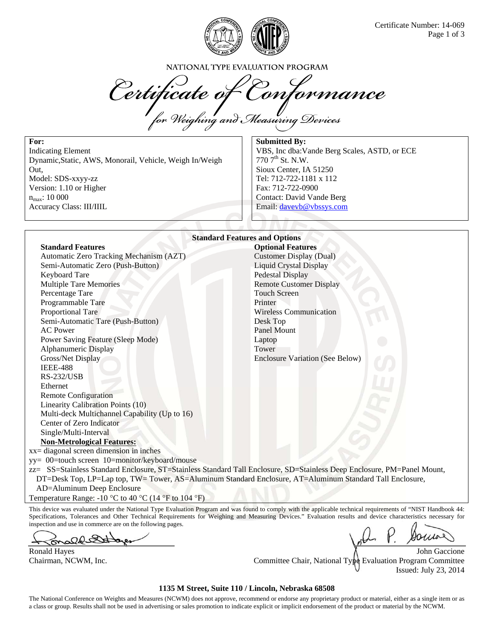

NATIONAL TYPE EVALUATION PROGRAM

Certificate of Conform<br>for Weighing and Measuring Devices tormance

**For:**  Indicating Element Dynamic,Static, AWS, Monorail, Vehicle, Weigh In/Weigh Out, Model: SDS-xxyy-zz Version: 1.10 or Higher  $n_{max}$ : 10 000 Accuracy Class: III/IIIL

**Submitted By:**  VBS, Inc dba:Vande Berg Scales, ASTD, or ECE  $770$   $7^{\text{th}}$  St. N.W. Sioux Center, IA 51250 Tel: 712-722-1181 x 112 Fax: 712-722-0900 Contact: David Vande Berg Email: davevb@vbssys.com

#### **Standard Features and Options Standard Features Optional Features Optional Features**

Automatic Zero Tracking Mechanism (AZT) Customer Display (Dual) Semi-Automatic Zero (Push-Button) Liquid Crystal Display Keyboard Tare Pedestal Display Multiple Tare Memories Remote Customer Display Percentage Tare Touch Screen Programmable Tare Printer Proportional Tare Wireless Communication Semi-Automatic Tare (Push-Button) Desk Top AC Power Panel Mount Power Saving Feature (Sleep Mode) Laptop Alphanumeric Display Tower Gross/Net Display Enclosure Variation (See Below) IEEE-488 RS-232/USB Ethernet Remote Configuration Linearity Calibration Points (10) Multi-deck Multichannel Capability (Up to 16) Center of Zero Indicator Single/Multi-Interval **Non-Metrological Features:** 

xx= diagonal screen dimension in inches yy= 00=touch screen 10=monitor/keyboard/mouse

zz= SS=Stainless Standard Enclosure, ST=Stainless Standard Tall Enclosure, SD=Stainless Deep Enclosure, PM=Panel Mount, DT=Desk Top, LP=Lap top, TW= Tower, AS=Aluminum Standard Enclosure, AT=Aluminum Standard Tall Enclosure,

AD=Aluminum Deep Enclosure

Temperature Range: -10  $\degree$ C to 40  $\degree$ C (14  $\degree$ F to 104  $\degree$ F)

This device was evaluated under the National Type Evaluation Program and was found to comply with the applicable technical requirements of "NIST Handbook 44: Specifications, Tolerances and Other Technical Requirements for Weighing and Measuring Devices." Evaluation results and device characteristics necessary for inspection and use in commerce are on the following pages.

ald

Ronald Hayes **All and The Contract of the Contract of All and The Contract of All and The Contract of All and The Contract of All and The Contract of All and The Contract of All and The Contract of All and The Contract of** Chairman, NCWM, Inc. Committee Chair, National Type Evaluation Program Committee Issued: July 23, 2014

### **1135 M Street, Suite 110 / Lincoln, Nebraska 68508**

The National Conference on Weights and Measures (NCWM) does not approve, recommend or endorse any proprietary product or material, either as a single item or as a class or group. Results shall not be used in advertising or sales promotion to indicate explicit or implicit endorsement of the product or material by the NCWM.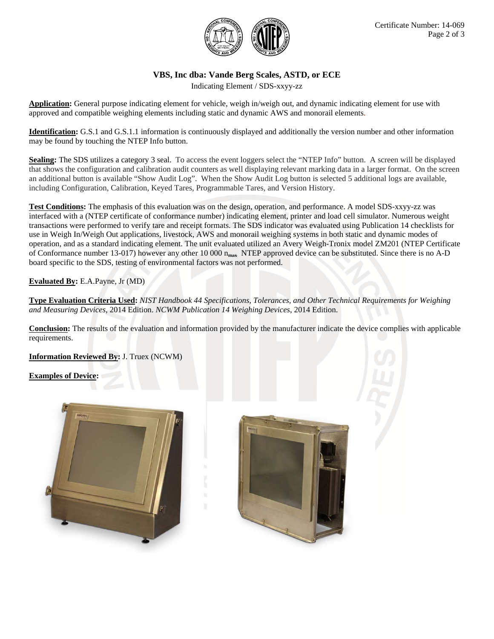

# **VBS, Inc dba: Vande Berg Scales, ASTD, or ECE**

Indicating Element / SDS-xxyy-zz

**Application:** General purpose indicating element for vehicle, weigh in/weigh out, and dynamic indicating element for use with approved and compatible weighing elements including static and dynamic AWS and monorail elements.

**Identification:** G.S.1 and G.S.1.1 information is continuously displayed and additionally the version number and other information may be found by touching the NTEP Info button.

**Sealing:** The SDS utilizes a category 3 seal. To access the event loggers select the "NTEP Info" button. A screen will be displayed that shows the configuration and calibration audit counters as well displaying relevant marking data in a larger format. On the screen an additional button is available "Show Audit Log". When the Show Audit Log button is selected 5 additional logs are available, including Configuration, Calibration, Keyed Tares, Programmable Tares, and Version History.

**Test Conditions:** The emphasis of this evaluation was on the design, operation, and performance. A model SDS-xxyy-zz was interfaced with a (NTEP certificate of conformance number) indicating element, printer and load cell simulator. Numerous weight transactions were performed to verify tare and receipt formats. The SDS indicator was evaluated using Publication 14 checklists for use in Weigh In/Weigh Out applications, livestock, AWS and monorail weighing systems in both static and dynamic modes of operation, and as a standard indicating element. The unit evaluated utilized an Avery Weigh-Tronix model ZM201 (NTEP Certificate of Conformance number 13-017) however any other 10 000  $n_{max}$  NTEP approved device can be substituted. Since there is no A-D board specific to the SDS, testing of environmental factors was not performed.

## **Evaluated By:** E.A.Payne, Jr (MD)

**Type Evaluation Criteria Used:** *NIST Handbook 44 Specifications, Tolerances, and Other Technical Requirements for Weighing and Measuring Devices*, 2014 Edition. *NCWM Publication 14 Weighing Devices*, 2014 Edition.

**Conclusion:** The results of the evaluation and information provided by the manufacturer indicate the device complies with applicable requirements.

**Information Reviewed By:** J. Truex (NCWM)

### **Examples of Device:**